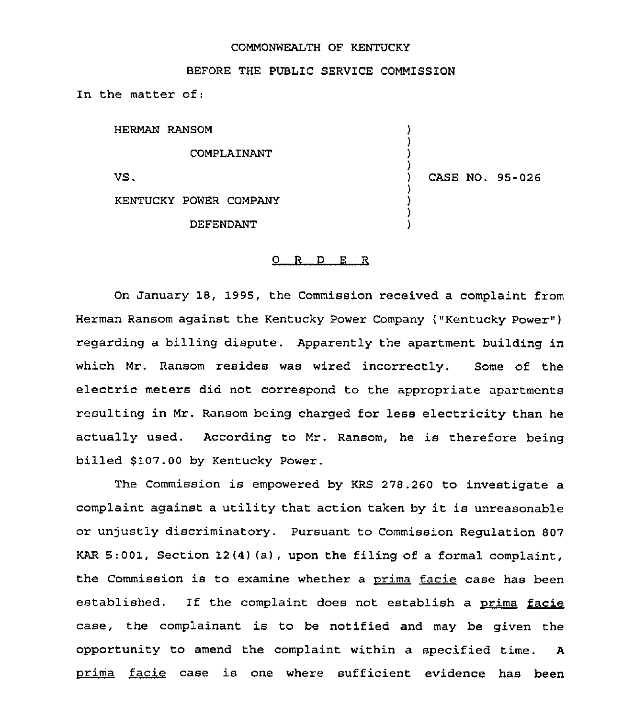## COMMONWEALTH OF KENTUCKY

## BEFORE THE PUBLIC SERVICE COMMISSION

In the matter of:

HERMAN RANSOM COMPLAINANT VS. KENTUCKY POWER COMPANY DEFENDANT ) ) ) )<br>) ) CASE NO. 95-026 ) ) ) )

## 0 R <sup>D</sup> E R

On January 18, 1995, the Commission received a complaint from Herman Ransom against the Kentucky Power Company ("Kentucky Power" ) regarding a billing dispute. Apparently the apartment building in which Mr. Ransom resides was wired incorrectly. Some of the electric meters did not correspond to the appropriate apartments resulting in Mr. Ransom being charged for less electricity than he actually used. According to Mr. Ransom, he is therefore being billed \$107.00 by Kentucky Power.

The Commission is empowered by KRS 278.260 to investigate a complaint against <sup>a</sup> utility that action taken by it is unreasonable or unjustly discriminatory. Pursuant to Commission Regulation 807 KAR 5:001, Section 12(4) (a), upon the filing of a formal complaint, the Commission is to examine whether a prima facie case has been established. If the complaint does not establish a prima facie case, the complainant is to be notified and may be given the opportunity to amend the complaint within a specified time. <sup>A</sup> prima facie case is one where sufficient evidence has been the compute<br>inity<br>facie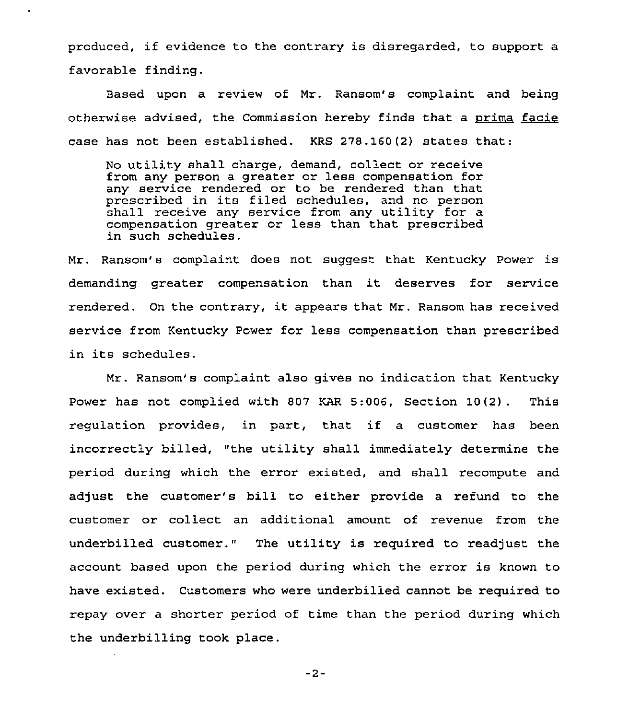produced, if evidence to the contrary is disregarded, to support <sup>a</sup> favorable finding.

Based upon a review of Mr. Ransom's complaint and being otherwise advised, the Commission hereby finds that a prima facie case has not been established. KRS 278.160(2) states that:

No utility shall charge, demand, collect or receive from any person a greater or less compensation for any service rendered or to be rendered than that prescribed in its filed schedules, and no person shall receive any service from any utility for a compensation greater or less than that prescribed in such schedules.

Mr. Ransom's complaint does not suggest that Kentucky Power is demanding greater compensation than it deserves for service rendered. On the contrary, it appears that Mr. Ransom has received service from Kentucky Power for less compensation than prescribed in its schedules.

Mr. Ransom's complaint also gives no indication that Kentucky Power has not complied with 807 KAR 5:006, Section 10(2) . This regulation provides, in part, that if <sup>a</sup> customer has been incorrectly billed, "the utility shall immediately determine the period during which the error existed, and shall recompute and adjust the customer's bill to either provide a refund to the customer or collect an additional amount of revenue from the underbilled customer." The utility is required to readjust the account based upon the period during which the error is known to have existed. Customers who were underbilled cannot be required to repay over a shorter period of time than the period during which the underbilling took place.

 $-2-$